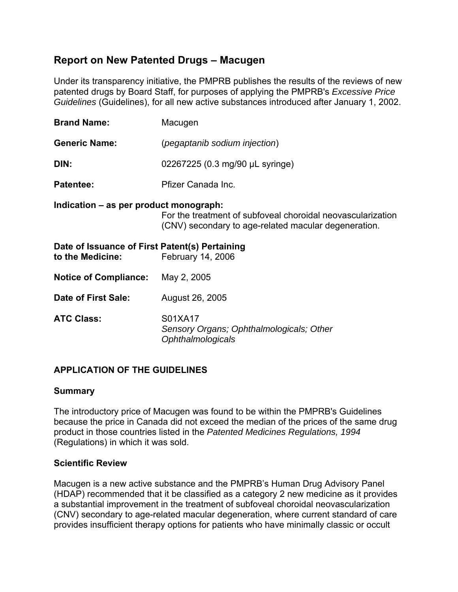# **Report on New Patented Drugs – Macugen**

Under its transparency initiative, the PMPRB publishes the results of the reviews of new patented drugs by Board Staff, for purposes of applying the PMPRB's *Excessive Price Guidelines* (Guidelines), for all new active substances introduced after January 1, 2002.

| <b>Brand Name:</b>                                                 | Macugen                                                                                                             |
|--------------------------------------------------------------------|---------------------------------------------------------------------------------------------------------------------|
| <b>Generic Name:</b>                                               | (pegaptanib sodium injection)                                                                                       |
| DIN:                                                               | 02267225 (0.3 mg/90 µL syringe)                                                                                     |
| <b>Patentee:</b>                                                   | Pfizer Canada Inc.                                                                                                  |
| Indication – as per product monograph:                             | For the treatment of subfoveal choroidal neovascularization<br>(CNV) secondary to age-related macular degeneration. |
| Date of Issuance of First Patent(s) Pertaining<br>to the Medicine: | February 14, 2006                                                                                                   |
| <b>Notice of Compliance:</b> May 2, 2005                           |                                                                                                                     |
| Date of First Sale:                                                | August 26, 2005                                                                                                     |
| <b>ATC Class:</b>                                                  | S01XA17<br>Sensory Organs; Ophthalmologicals; Other<br><b>Ophthalmologicals</b>                                     |

# **APPLICATION OF THE GUIDELINES**

#### **Summary**

The introductory price of Macugen was found to be within the PMPRB's Guidelines because the price in Canada did not exceed the median of the prices of the same drug product in those countries listed in the *Patented Medicines Regulations, 1994*  (Regulations) in which it was sold.

#### **Scientific Review**

Macugen is a new active substance and the PMPRB's Human Drug Advisory Panel (HDAP) recommended that it be classified as a category 2 new medicine as it provides a substantial improvement in the treatment of subfoveal choroidal neovascularization (CNV) secondary to age-related macular degeneration, where current standard of care provides insufficient therapy options for patients who have minimally classic or occult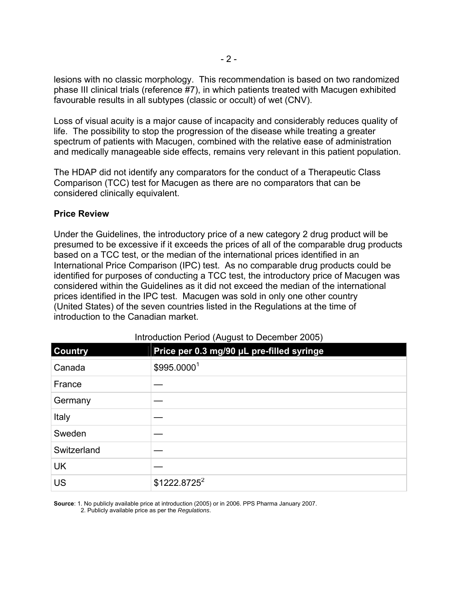lesions with no classic morphology. This recommendation is based on two randomized phase III clinical trials (reference #7), in which patients treated with Macugen exhibited favourable results in all subtypes (classic or occult) of wet (CNV).

Loss of visual acuity is a major cause of incapacity and considerably reduces quality of life. The possibility to stop the progression of the disease while treating a greater spectrum of patients with Macugen, combined with the relative ease of administration and medically manageable side effects, remains very relevant in this patient population.

The HDAP did not identify any comparators for the conduct of a Therapeutic Class Comparison (TCC) test for Macugen as there are no comparators that can be considered clinically equivalent.

#### **Price Review**

Under the Guidelines, the introductory price of a new category 2 drug product will be presumed to be excessive if it exceeds the prices of all of the comparable drug products based on a TCC test, or the median of the international prices identified in an International Price Comparison (IPC) test. As no comparable drug products could be identified for purposes of conducting a TCC test, the introductory price of Macugen was considered within the Guidelines as it did not exceed the median of the international prices identified in the IPC test. Macugen was sold in only one other country (United States) of the seven countries listed in the Regulations at the time of introduction to the Canadian market.

| <b>Country</b> | Price per 0.3 mg/90 µL pre-filled syringe |
|----------------|-------------------------------------------|
| Canada         | \$995.00001                               |
| France         |                                           |
| Germany        |                                           |
| Italy          |                                           |
| Sweden         |                                           |
| Switzerland    |                                           |
| <b>UK</b>      |                                           |
| <b>US</b>      | \$1222.8725 <sup>2</sup>                  |

## Introduction Period (August to December 2005)

**Source**: 1. No publicly available price at introduction (2005) or in 2006. PPS Pharma January 2007. 2. Publicly available price as per the *Regulations*.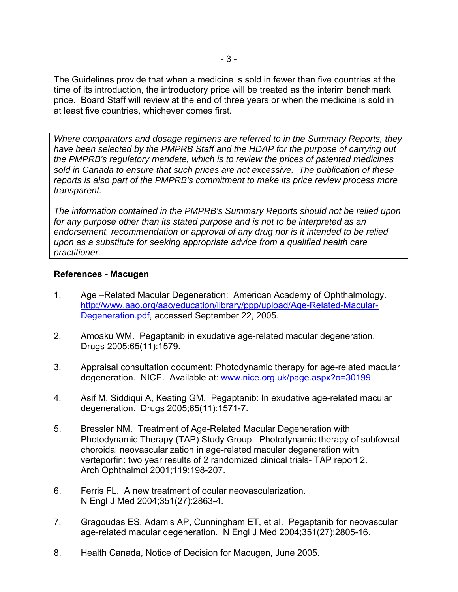The Guidelines provide that when a medicine is sold in fewer than five countries at the time of its introduction, the introductory price will be treated as the interim benchmark price. Board Staff will review at the end of three years or when the medicine is sold in at least five countries, whichever comes first.

*Where comparators and dosage regimens are referred to in the Summary Reports, they have been selected by the PMPRB Staff and the HDAP for the purpose of carrying out the PMPRB's regulatory mandate, which is to review the prices of patented medicines sold in Canada to ensure that such prices are not excessive. The publication of these reports is also part of the PMPRB's commitment to make its price review process more transparent.* 

*The information contained in the PMPRB's Summary Reports should not be relied upon for any purpose other than its stated purpose and is not to be interpreted as an endorsement, recommendation or approval of any drug nor is it intended to be relied upon as a substitute for seeking appropriate advice from a qualified health care practitioner.* 

## **References - Macugen**

- 1. Age –Related Macular Degeneration: American Academy of Ophthalmology. http://www.aao.org/aao/education/library/ppp/upload/Age-Related-Macular-Degeneration.pdf, accessed September 22, 2005.
- 2. Amoaku WM. Pegaptanib in exudative age-related macular degeneration. Drugs 2005:65(11):1579.
- 3. Appraisal consultation document: Photodynamic therapy for age-related macular degeneration. NICE. Available at: www.nice.org.uk/page.aspx?o=30199.
- 4. Asif M, Siddiqui A, Keating GM. Pegaptanib: In exudative age-related macular degeneration. Drugs 2005;65(11):1571-7.
- 5. Bressler NM. Treatment of Age-Related Macular Degeneration with Photodynamic Therapy (TAP) Study Group. Photodynamic therapy of subfoveal choroidal neovascularization in age-related macular degeneration with verteporfin: two year results of 2 randomized clinical trials- TAP report 2. Arch Ophthalmol 2001;119:198-207.
- 6. Ferris FL. A new treatment of ocular neovascularization. N Engl J Med 2004;351(27):2863-4.
- 7. Gragoudas ES, Adamis AP, Cunningham ET, et al. Pegaptanib for neovascular age-related macular degeneration. N Engl J Med 2004;351(27):2805-16.
- 8. Health Canada, Notice of Decision for Macugen, June 2005.